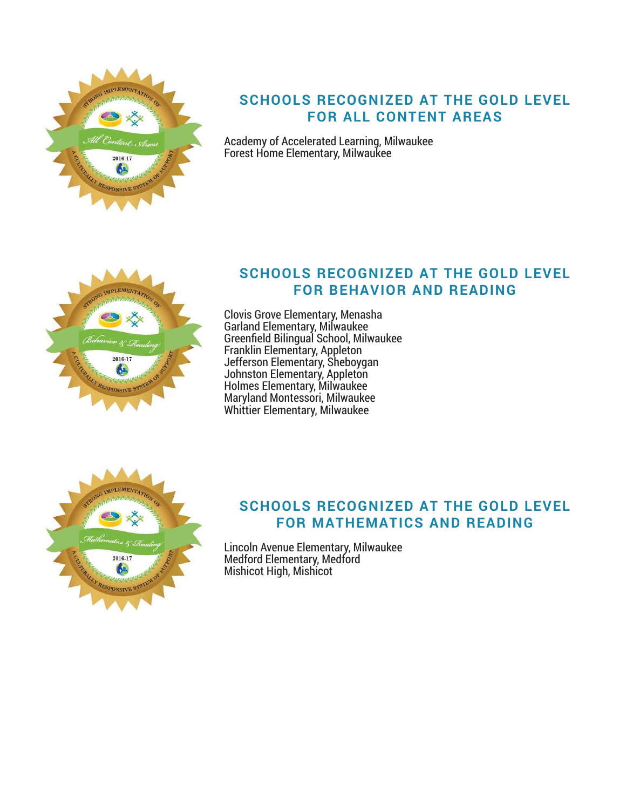

# **SCHOOLS RECOGNIZED AT THE GOLD LEVEL FOR ALL CONTENT AREAS**

Academy of Accelerated Learning, Milwaukee Forest Home Elementary, Milwaukee



## **SCHOOLS RECOGNIZED AT THE GOLD LEVEL FOR BEHAVIOR AND READING**

Clovis Grove Elementary, Menasha Garland Elementary, Milwaukee Greenfield Bilingual School, Milwaukee Franklin Elementary, Appleton Jefferson Elementary, Sheboygan Johnston Elementary, Appleton Holmes Elementary, Milwaukee Maryland Montessori, Milwaukee Whittier Elementary, Milwaukee



### **SCHOOLS RECOGNIZED AT THE GOLD LEVEL FOR MATHEMATICS AND READING**

Lincoln Avenue Elementary, Milwaukee Medford Elementary, Medford Mishicot High, Mishicot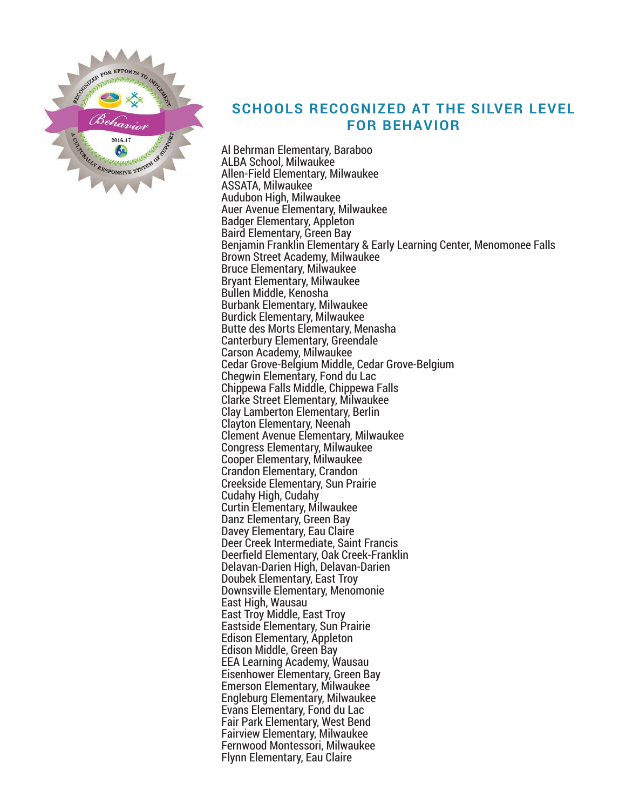

## **SCHOOLS RECOGNIZED AT THE SILVER LEVEL FOR BEHAVIOR**

Al Behrman Elementary, Baraboo ALBA School, Milwaukee Allen-Field Elementary, Milwaukee ASSATA, Milwaukee Audubon High, Milwaukee Auer Avenue Elementary, Milwaukee Badger Elementary, Appleton Baird Elementary, Green Bay Benjamin Franklin Elementary & Early Learning Center, Menomonee Falls Brown Street Academy, Milwaukee Bruce Elementary, Milwaukee Bryant Elementary, Milwaukee Bullen Middle, Kenosha Burbank Elementary, Milwaukee Burdick Elementary, Milwaukee Butte des Morts Elementary, Menasha Canterbury Elementary, Greendale Carson Academy, Milwaukee Cedar Grove-Belgium Middle, Cedar Grove-Belgium Chegwin Elementary, Fond du Lac Chippewa Falls Middle, Chippewa Falls Clarke Street Elementary, Milwaukee Clay Lamberton Elementary, Berlin Clayton Elementary, Neenah Clement Avenue Elementary, Milwaukee Congress Elementary, Milwaukee Cooper Elementary, Milwaukee Crandon Elementary, Crandon Creekside Elementary, Sun Prairie Cudahy High, Cudahy Curtin Elementary, Milwaukee Danz Elementary, Green Bay Davey Elementary, Eau Claire Deer Creek Intermediate, Saint Francis Deerfield Elementary, Oak Creek-Franklin Delavan-Darien High, Delavan-Darien Doubek Elementary, East Troy Downsville Elementary, Menomonie East High, Wausau East Troy Middle, East Troy Eastside Elementary, Sun Prairie Edison Elementary, Appleton Edison Middle, Green Bay EEA Learning Academy, Wausau Eisenhower Elementary, Green Bay Emerson Elementary, Milwaukee Engleburg Elementary, Milwaukee Evans Elementary, Fond du Lac Fair Park Elementary, West Bend Fairview Elementary, Milwaukee Fernwood Montessori, Milwaukee Flynn Elementary, Eau Claire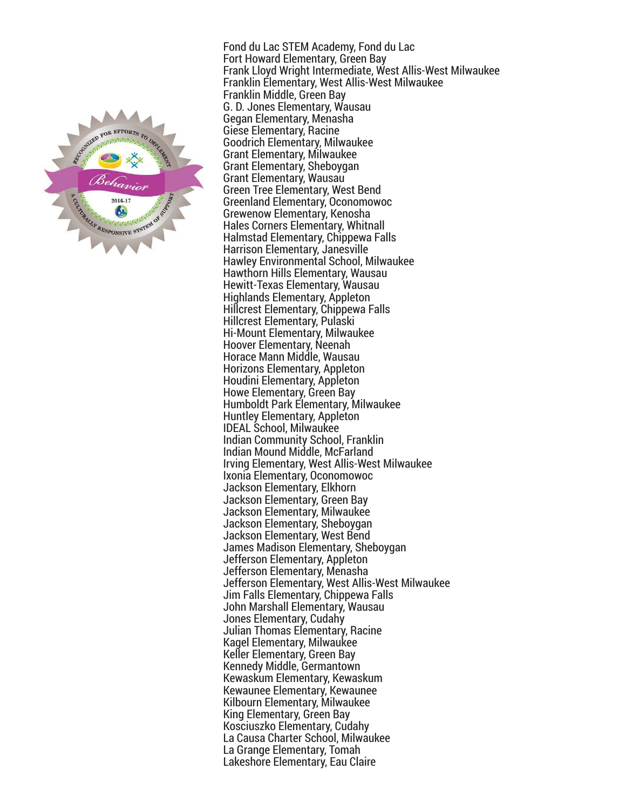

Fond du Lac STEM Academy, Fond du Lac Fort Howard Elementary, Green Bay Frank Lloyd Wright Intermediate, West Allis-West Milwaukee Franklin Elementary, West Allis-West Milwaukee Franklin Middle, Green Bay G. D. Jones Elementary, Wausau Gegan Elementary, Menasha Giese Elementary, Racine Goodrich Elementary, Milwaukee Grant Elementary, Milwaukee Grant Elementary, Sheboygan Grant Elementary, Wausau Green Tree Elementary, West Bend Greenland Elementary, Oconomowoc Grewenow Elementary, Kenosha Hales Corners Elementary, Whitnall Halmstad Elementary, Chippewa Falls Harrison Elementary, Janesville Hawley Environmental School, Milwaukee Hawthorn Hills Elementary, Wausau Hewitt-Texas Elementary, Wausau Highlands Elementary, Appleton Hillcrest Elementary, Chippewa Falls Hillcrest Elementary, Pulaski Hi-Mount Elementary, Milwaukee Hoover Elementary, Neenah Horace Mann Middle, Wausau Horizons Elementary, Appleton Houdini Elementary, Appleton Howe Elementary, Green Bay Humboldt Park Elementary, Milwaukee Huntley Elementary, Appleton IDEAL School, Milwaukee Indian Community School, Franklin Indian Mound Middle, McFarland Irving Elementary, West Allis-West Milwaukee Ixonia Elementary, Oconomowoc Jackson Elementary, Elkhorn Jackson Elementary, Green Bay Jackson Elementary, Milwaukee Jackson Elementary, Sheboygan Jackson Elementary, West Bend James Madison Elementary, Sheboygan Jefferson Elementary, Appleton Jefferson Elementary, Menasha Jefferson Elementary, West Allis-West Milwaukee Jim Falls Elementary, Chippewa Falls John Marshall Elementary, Wausau Jones Elementary, Cudahy Julian Thomas Elementary, Racine Kagel Elementary, Milwaukee Keller Elementary, Green Bay Kennedy Middle, Germantown Kewaskum Elementary, Kewaskum Kewaunee Elementary, Kewaunee Kilbourn Elementary, Milwaukee King Elementary, Green Bay Kosciuszko Elementary, Cudahy La Causa Charter School, Milwaukee La Grange Elementary, Tomah Lakeshore Elementary, Eau Claire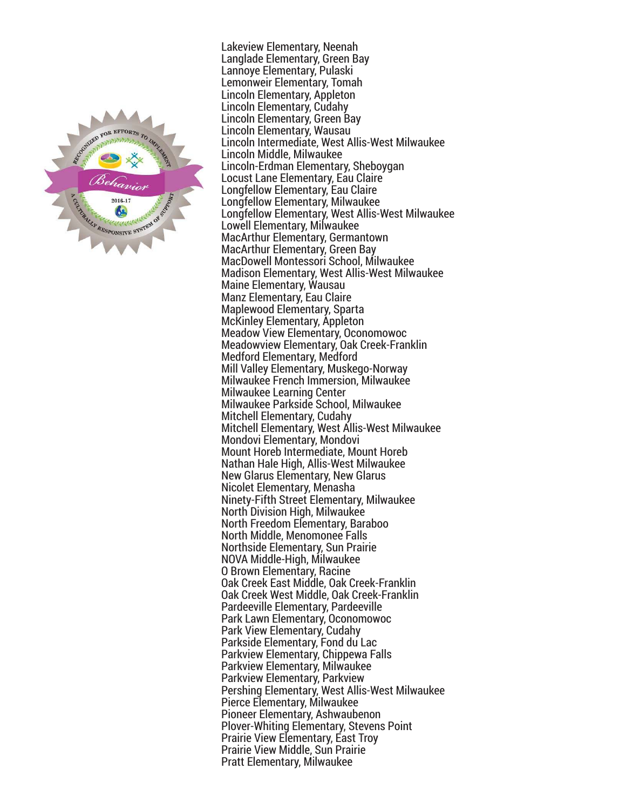

Lakeview Elementary, Neenah Langlade Elementary, Green Bay Lannoye Elementary, Pulaski Lemonweir Elementary, Tomah Lincoln Elementary, Appleton Lincoln Elementary, Cudahy Lincoln Elementary, Green Bay Lincoln Elementary, Wausau Lincoln Intermediate, West Allis-West Milwaukee Lincoln Middle, Milwaukee Lincoln-Erdman Elementary, Sheboygan Locust Lane Elementary, Eau Claire Longfellow Elementary, Eau Claire Longfellow Elementary, Milwaukee Longfellow Elementary, West Allis-West Milwaukee Lowell Elementary, Milwaukee MacArthur Elementary, Germantown MacArthur Elementary, Green Bay MacDowell Montessori School, Milwaukee Madison Elementary, West Allis-West Milwaukee Maine Elementary, Wausau Manz Elementary, Eau Claire Maplewood Elementary, Sparta McKinley Elementary, Appleton Meadow View Elementary, Oconomowoc Meadowview Elementary, Oak Creek-Franklin Medford Elementary, Medford Mill Valley Elementary, Muskego-Norway Milwaukee French Immersion, Milwaukee Milwaukee Learning Center Milwaukee Parkside School, Milwaukee Mitchell Elementary, Cudahy Mitchell Elementary, West Allis-West Milwaukee Mondovi Elementary, Mondovi Mount Horeb Intermediate, Mount Horeb Nathan Hale High, Allis-West Milwaukee New Glarus Elementary, New Glarus Nicolet Elementary, Menasha Ninety-Fifth Street Elementary, Milwaukee North Division High, Milwaukee North Freedom Elementary, Baraboo North Middle, Menomonee Falls Northside Elementary, Sun Prairie NOVA Middle-High, Milwaukee O Brown Elementary, Racine Oak Creek East Middle, Oak Creek-Franklin Oak Creek West Middle, Oak Creek-Franklin Pardeeville Elementary, Pardeeville Park Lawn Elementary, Oconomowoc Park View Elementary, Cudahy Parkside Elementary, Fond du Lac Parkview Elementary, Chippewa Falls Parkview Elementary, Milwaukee Parkview Elementary, Parkview Pershing Elementary, West Allis-West Milwaukee Pierce Elementary, Milwaukee Pioneer Elementary, Ashwaubenon Plover-Whiting Elementary, Stevens Point Prairie View Elementary, East Troy Prairie View Middle, Sun Prairie Pratt Elementary, Milwaukee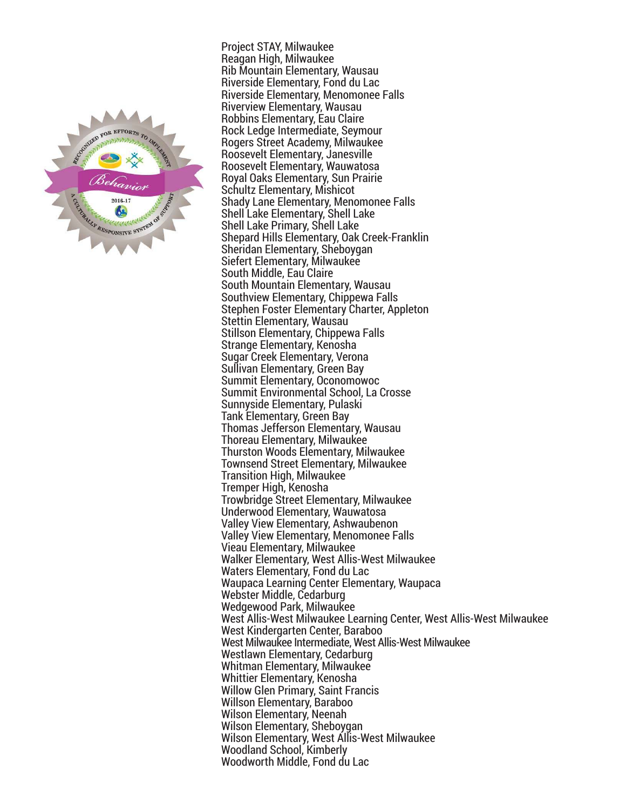

Project STAY, Milwaukee Reagan High, Milwaukee Rib Mountain Elementary, Wausau Riverside Elementary, Fond du Lac Riverside Elementary, Menomonee Falls Riverview Elementary, Wausau Robbins Elementary, Eau Claire Rock Ledge Intermediate, Seymour Rogers Street Academy, Milwaukee Roosevelt Elementary, Janesville Roosevelt Elementary, Wauwatosa Royal Oaks Elementary, Sun Prairie Schultz Elementary, Mishicot Shady Lane Elementary, Menomonee Falls Shell Lake Elementary, Shell Lake Shell Lake Primary, Shell Lake Shepard Hills Elementary, Oak Creek-Franklin Sheridan Elementary, Sheboygan Siefert Elementary, Milwaukee South Middle, Eau Claire South Mountain Elementary, Wausau Southview Elementary, Chippewa Falls Stephen Foster Elementary Charter, Appleton Stettin Elementary, Wausau Stillson Elementary, Chippewa Falls Strange Elementary, Kenosha Sugar Creek Elementary, Verona Sullivan Elementary, Green Bay Summit Elementary, Oconomowoc Summit Environmental School, La Crosse Sunnyside Elementary, Pulaski Tank Elementary, Green Bay Thomas Jefferson Elementary, Wausau Thoreau Elementary, Milwaukee Thurston Woods Elementary, Milwaukee Townsend Street Elementary, Milwaukee Transition High, Milwaukee Tremper High, Kenosha Trowbridge Street Elementary, Milwaukee Underwood Elementary, Wauwatosa Valley View Elementary, Ashwaubenon Valley View Elementary, Menomonee Falls Vieau Elementary, Milwaukee Walker Elementary, West Allis-West Milwaukee Waters Elementary, Fond du Lac Waupaca Learning Center Elementary, Waupaca Webster Middle, Cedarburg Wedgewood Park, Milwaukee West Allis-West Milwaukee Learning Center, West Allis-West Milwaukee West Kindergarten Center, Baraboo West Milwaukee Intermediate, West Allis-West Milwaukee Westlawn Elementary, Cedarburg Whitman Elementary, Milwaukee Whittier Elementary, Kenosha Willow Glen Primary, Saint Francis Willson Elementary, Baraboo Wilson Elementary, Neenah Wilson Elementary, Sheboygan Wilson Elementary, West Allis-West Milwaukee Woodland School, Kimberly Woodworth Middle, Fond du Lac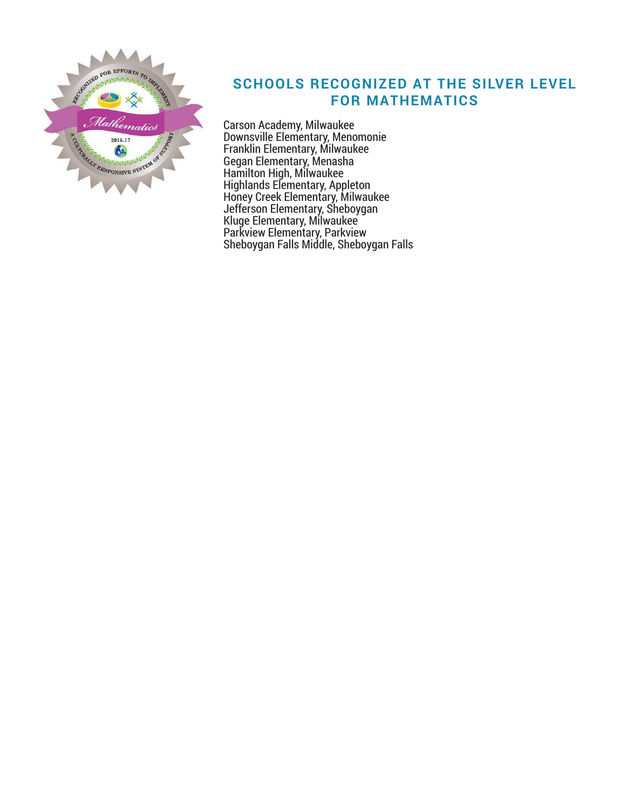

# **SCHOOLS RECOGNIZED AT THE SILVER LEVEL FOR MATHEMATICS**

Carson Academy, Milwaukee Downsville Elementary, Menomonie Franklin Elementary, Milwaukee Gegan Elementary, Menasha Hamilton High, Milwaukee Highlands Elementary, Appleton Honey Creek Elementary, Milwaukee Jefferson Elementary, Sheboygan Kluge Elementary, Milwaukee Parkview Elementary, Parkview Sheboygan Falls Middle, Sheboygan Falls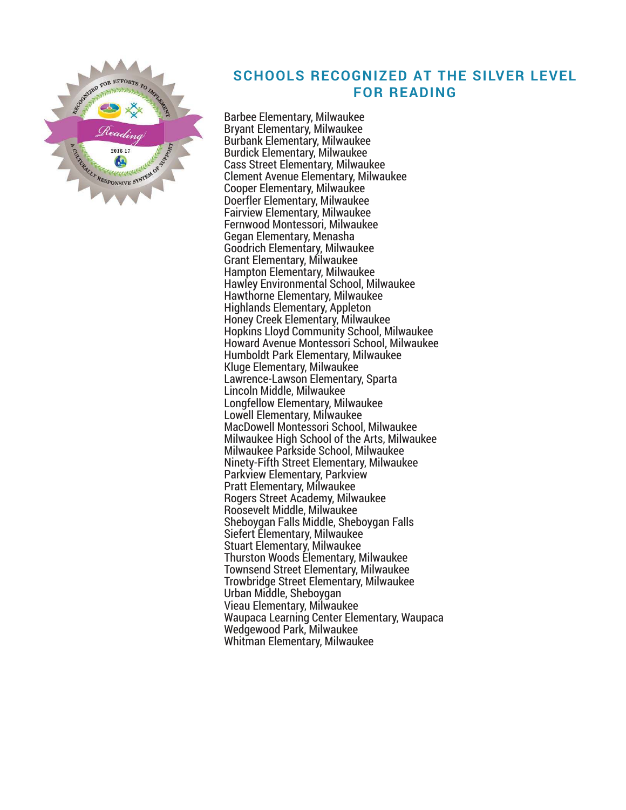

### **SCHOOLS RECOGNIZED AT THE SILVER LEVEL FOR READING**

Barbee Elementary, Milwaukee Bryant Elementary, Milwaukee Burbank Elementary, Milwaukee Burdick Elementary, Milwaukee Cass Street Elementary, Milwaukee Clement Avenue Elementary, Milwaukee Cooper Elementary, Milwaukee Doerfler Elementary, Milwaukee Fairview Elementary, Milwaukee Fernwood Montessori, Milwaukee Gegan Elementary, Menasha Goodrich Elementary, Milwaukee Grant Elementary, Milwaukee Hampton Elementary, Milwaukee Hawley Environmental School, Milwaukee Hawthorne Elementary, Milwaukee Highlands Elementary, Appleton Honey Creek Elementary, Milwaukee Hopkins Lloyd Community School, Milwaukee Howard Avenue Montessori School, Milwaukee Humboldt Park Elementary, Milwaukee Kluge Elementary, Milwaukee Lawrence-Lawson Elementary, Sparta Lincoln Middle, Milwaukee Longfellow Elementary, Milwaukee Lowell Elementary, Milwaukee MacDowell Montessori School, Milwaukee Milwaukee High School of the Arts, Milwaukee Milwaukee Parkside School, Milwaukee Ninety-Fifth Street Elementary, Milwaukee Parkview Elementary, Parkview Pratt Elementary, Milwaukee Rogers Street Academy, Milwaukee Roosevelt Middle, Milwaukee Sheboygan Falls Middle, Sheboygan Falls Siefert Elementary, Milwaukee Stuart Elementary, Milwaukee Thurston Woods Elementary, Milwaukee Townsend Street Elementary, Milwaukee Trowbridge Street Elementary, Milwaukee Urban Middle, Sheboygan Vieau Elementary, Milwaukee Waupaca Learning Center Elementary, Waupaca Wedgewood Park, Milwaukee Whitman Elementary, Milwaukee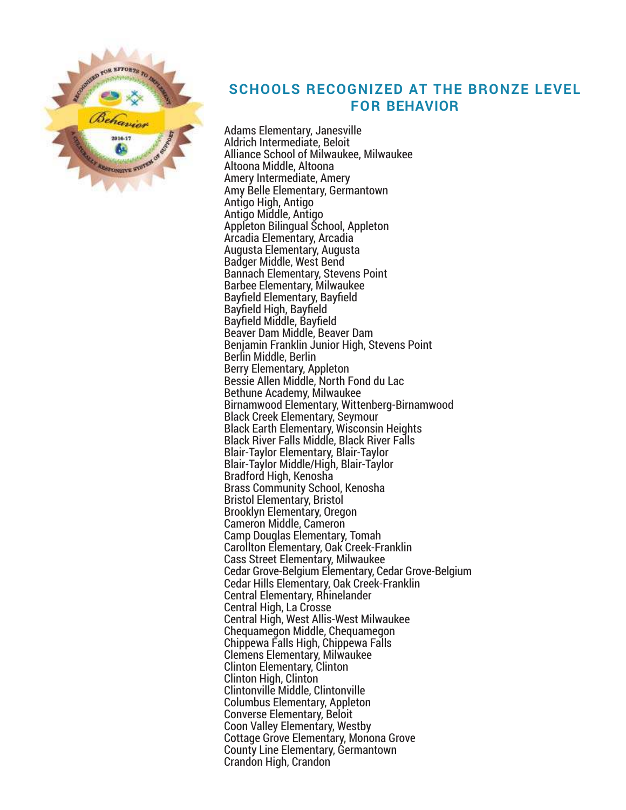

## **SCHOOLS RECOGNIZED AT THE BRONZE LEVEL FOR BEHAVIOR**

Adams Elementary, Janesville Aldrich Intermediate, Beloit Alliance School of Milwaukee, Milwaukee Altoona Middle, Altoona Amery Intermediate, Amery Amy Belle Elementary, Germantown Antigo High, Antigo Antigo Middle, Antigo Appleton Bilingual School, Appleton Arcadia Elementary, Arcadia Augusta Elementary, Augusta Badger Middle, West Bend Bannach Elementary, Stevens Point Barbee Elementary, Milwaukee Bayfield Elementary, Bayfield Bayfield High, Bayfield Bayfield Middle, Bayfield Beaver Dam Middle, Beaver Dam Benjamin Franklin Junior High, Stevens Point Berlin Middle, Berlin Berry Elementary, Appleton Bessie Allen Middle, North Fond du Lac Bethune Academy, Milwaukee Birnamwood Elementary, Wittenberg-Birnamwood Black Creek Elementary, Seymour Black Earth Elementary, Wisconsin Heights Black River Falls Middle, Black River Falls Blair-Taylor Elementary, Blair-Taylor Blair-Taylor Middle/High, Blair-Taylor Bradford High, Kenosha Brass Community School, Kenosha Bristol Elementary, Bristol Brooklyn Elementary, Oregon Cameron Middle, Cameron Camp Douglas Elementary, Tomah Carollton Elementary, Oak Creek-Franklin Cass Street Elementary, Milwaukee Cedar Grove-Belgium Elementary, Cedar Grove-Belgium Cedar Hills Elementary, Oak Creek-Franklin Central Elementary, Rhinelander Central High, La Crosse Central High, West Allis-West Milwaukee Chequamegon Middle, Chequamegon Chippewa Falls High, Chippewa Falls Clemens Elementary, Milwaukee Clinton Elementary, Clinton Clinton High, Clinton Clintonville Middle, Clintonville Columbus Elementary, Appleton Converse Elementary, Beloit Coon Valley Elementary, Westby Cottage Grove Elementary, Monona Grove County Line Elementary, Germantown Crandon High, Crandon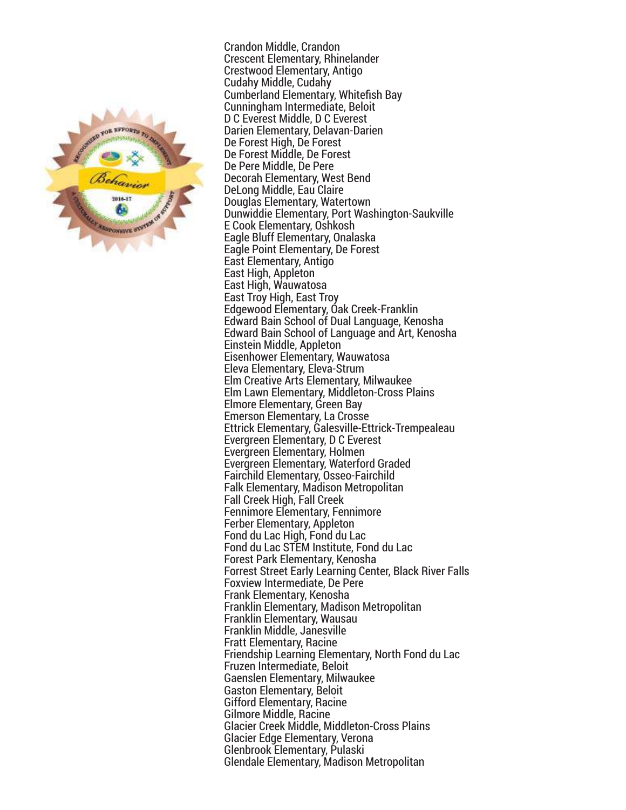

Crandon Middle, Crandon Crescent Elementary, Rhinelander Crestwood Elementary, Antigo Cudahy Middle, Cudahy Cumberland Elementary, Whitefish Bay Cunningham Intermediate, Beloit D C Everest Middle, D C Everest Darien Elementary, Delavan-Darien De Forest High, De Forest De Forest Middle, De Forest De Pere Middle, De Pere Decorah Elementary, West Bend DeLong Middle, Eau Claire Douglas Elementary, Watertown Dunwiddie Elementary, Port Washington-Saukville E Cook Elementary, Oshkosh Eagle Bluff Elementary, Onalaska Eagle Point Elementary, De Forest East Elementary, Antigo East High, Appleton East High, Wauwatosa East Troy High, East Troy Edgewood Elementary, Oak Creek-Franklin Edward Bain School of Dual Language, Kenosha Edward Bain School of Language and Art, Kenosha Einstein Middle, Appleton Eisenhower Elementary, Wauwatosa Eleva Elementary, Eleva-Strum Elm Creative Arts Elementary, Milwaukee Elm Lawn Elementary, Middleton-Cross Plains Elmore Elementary, Green Bay Emerson Elementary, La Crosse Ettrick Elementary, Galesville-Ettrick-Trempealeau Evergreen Elementary, D C Everest Evergreen Elementary, Holmen Evergreen Elementary, Waterford Graded Fairchild Elementary, Osseo-Fairchild Falk Elementary, Madison Metropolitan Fall Creek High, Fall Creek Fennimore Elementary, Fennimore Ferber Elementary, Appleton Fond du Lac High, Fond du Lac Fond du Lac STEM Institute, Fond du Lac Forest Park Elementary, Kenosha Forrest Street Early Learning Center, Black River Falls Foxview Intermediate, De Pere Frank Elementary, Kenosha Franklin Elementary, Madison Metropolitan Franklin Elementary, Wausau Franklin Middle, Janesville Fratt Elementary, Racine Friendship Learning Elementary, North Fond du Lac Fruzen Intermediate, Beloit Gaenslen Elementary, Milwaukee Gaston Elementary, Beloit Gifford Elementary, Racine Gilmore Middle, Racine Glacier Creek Middle, Middleton-Cross Plains Glacier Edge Elementary, Verona Glenbrook Elementary, Pulaski Glendale Elementary, Madison Metropolitan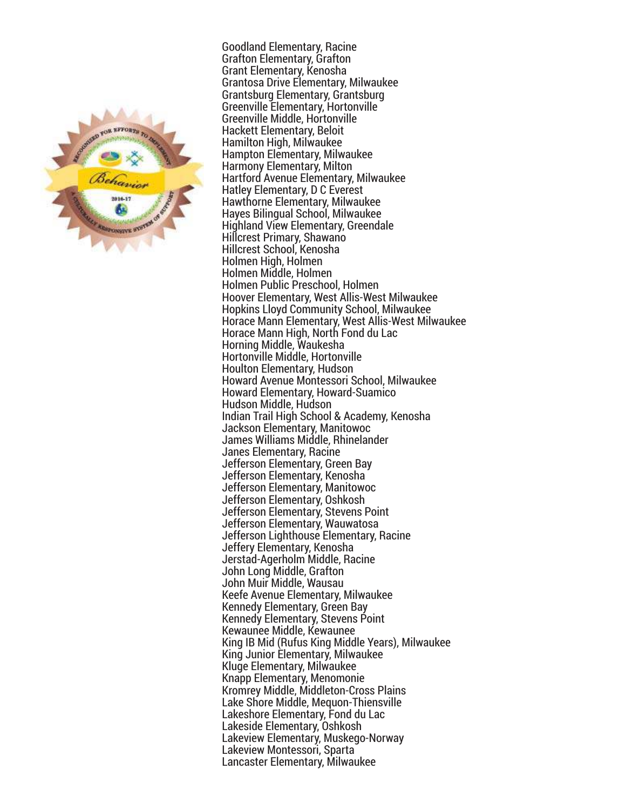

Goodland Elementary, Racine Grafton Elementary, Grafton Grant Elementary, Kenosha Grantosa Drive Elementary, Milwaukee Grantsburg Elementary, Grantsburg Greenville Elementary, Hortonville Greenville Middle, Hortonville Hackett Elementary, Beloit Hamilton High, Milwaukee Hampton Elementary, Milwaukee Harmony Elementary, Milton Hartford Avenue Elementary, Milwaukee Hatley Elementary, D C Everest Hawthorne Elementary, Milwaukee Hayes Bilingual School, Milwaukee Highland View Elementary, Greendale Hillcrest Primary, Shawano Hillcrest School, Kenosha Holmen High, Holmen Holmen Middle, Holmen Holmen Public Preschool, Holmen Hoover Elementary, West Allis-West Milwaukee Hopkins Lloyd Community School, Milwaukee Horace Mann Elementary, West Allis-West Milwaukee Horace Mann High, North Fond du Lac Horning Middle, Waukesha Hortonville Middle, Hortonville Houlton Elementary, Hudson Howard Avenue Montessori School, Milwaukee Howard Elementary, Howard-Suamico Hudson Middle, Hudson Indian Trail High School & Academy, Kenosha Jackson Elementary, Manitowoc James Williams Middle, Rhinelander Janes Elementary, Racine Jefferson Elementary, Green Bay Jefferson Elementary, Kenosha Jefferson Elementary, Manitowoc Jefferson Elementary, Oshkosh Jefferson Elementary, Stevens Point Jefferson Elementary, Wauwatosa Jefferson Lighthouse Elementary, Racine Jeffery Elementary, Kenosha Jerstad-Agerholm Middle, Racine John Long Middle, Grafton John Muir Middle, Wausau Keefe Avenue Elementary, Milwaukee Kennedy Elementary, Green Bay Kennedy Elementary, Stevens Point Kewaunee Middle, Kewaunee King IB Mid (Rufus King Middle Years), Milwaukee King Junior Elementary, Milwaukee Kluge Elementary, Milwaukee Knapp Elementary, Menomonie Kromrey Middle, Middleton-Cross Plains Lake Shore Middle, Mequon-Thiensville Lakeshore Elementary, Fond du Lac Lakeside Elementary, Oshkosh Lakeview Elementary, Muskego-Norway Lakeview Montessori, Sparta Lancaster Elementary, Milwaukee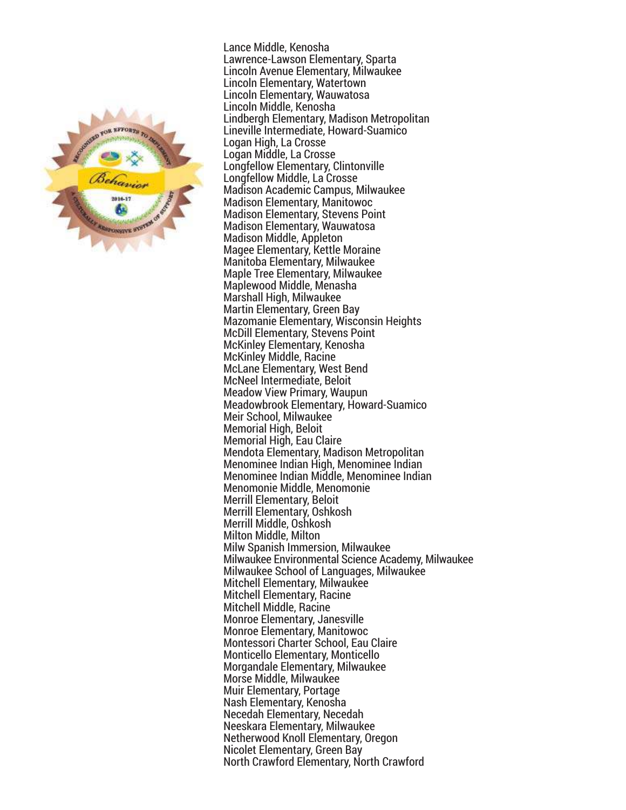

Lance Middle, Kenosha Lawrence-Lawson Elementary, Sparta Lincoln Avenue Elementary, Milwaukee Lincoln Elementary, Watertown Lincoln Elementary, Wauwatosa Lincoln Middle, Kenosha Lindbergh Elementary, Madison Metropolitan Lineville Intermediate, Howard-Suamico Logan High, La Crosse Logan Middle, La Crosse Longfellow Elementary, Clintonville Longfellow Middle, La Crosse Madison Academic Campus, Milwaukee Madison Elementary, Manitowoc Madison Elementary, Stevens Point Madison Elementary, Wauwatosa Madison Middle, Appleton Magee Elementary, Kettle Moraine Manitoba Elementary, Milwaukee Maple Tree Elementary, Milwaukee Maplewood Middle, Menasha Marshall High, Milwaukee Martin Elementary, Green Bay Mazomanie Elementary, Wisconsin Heights McDill Elementary, Stevens Point McKinley Elementary, Kenosha McKinley Middle, Racine McLane Elementary, West Bend McNeel Intermediate, Beloit Meadow View Primary, Waupun Meadowbrook Elementary, Howard-Suamico Meir School, Milwaukee Memorial High, Beloit Memorial High, Eau Claire Mendota Elementary, Madison Metropolitan Menominee Indian High, Menominee Indian Menominee Indian Middle, Menominee Indian Menomonie Middle, Menomonie Merrill Elementary, Beloit Merrill Elementary, Oshkosh Merrill Middle, Oshkosh Milton Middle, Milton Milw Spanish Immersion, Milwaukee Milwaukee Environmental Science Academy, Milwaukee Milwaukee School of Languages, Milwaukee Mitchell Elementary, Milwaukee Mitchell Elementary, Racine Mitchell Middle, Racine Monroe Elementary, Janesville Monroe Elementary, Manitowoc Montessori Charter School, Eau Claire Monticello Elementary, Monticello Morgandale Elementary, Milwaukee Morse Middle, Milwaukee Muir Elementary, Portage Nash Elementary, Kenosha Necedah Elementary, Necedah Neeskara Elementary, Milwaukee Netherwood Knoll Elementary, Oregon Nicolet Elementary, Green Bay North Crawford Elementary, North Crawford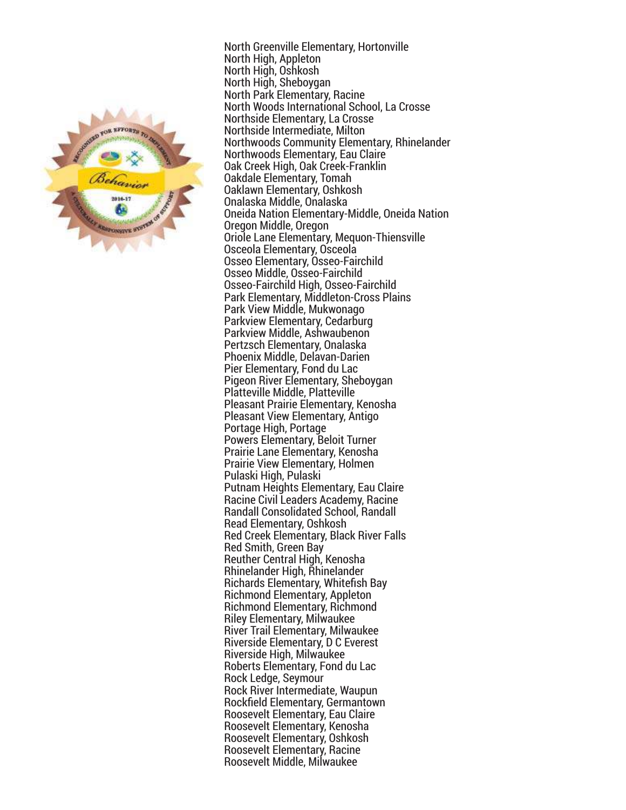

North Greenville Elementary, Hortonville North High, Appleton North High, Oshkosh North High, Sheboygan North Park Elementary, Racine North Woods International School, La Crosse Northside Elementary, La Crosse Northside Intermediate, Milton Northwoods Community Elementary, Rhinelander Northwoods Elementary, Eau Claire Oak Creek High, Oak Creek-Franklin Oakdale Elementary, Tomah Oaklawn Elementary, Oshkosh Onalaska Middle, Onalaska Oneida Nation Elementary-Middle, Oneida Nation Oregon Middle, Oregon Oriole Lane Elementary, Mequon-Thiensville Osceola Elementary, Osceola Osseo Elementary, Osseo-Fairchild Osseo Middle, Osseo-Fairchild Osseo-Fairchild High, Osseo-Fairchild Park Elementary, Middleton-Cross Plains Park View Middle, Mukwonago Parkview Elementary, Cedarburg Parkview Middle, Ashwaubenon Pertzsch Elementary, Onalaska Phoenix Middle, Delavan-Darien Pier Elementary, Fond du Lac Pigeon River Elementary, Sheboygan Platteville Middle, Platteville Pleasant Prairie Elementary, Kenosha Pleasant View Elementary, Antigo Portage High, Portage Powers Elementary, Beloit Turner Prairie Lane Elementary, Kenosha Prairie View Elementary, Holmen Pulaski High, Pulaski Putnam Heights Elementary, Eau Claire Racine Civil Leaders Academy, Racine Randall Consolidated School, Randall Read Elementary, Oshkosh Red Creek Elementary, Black River Falls Red Smith, Green Bay Reuther Central High, Kenosha Rhinelander High, Rhinelander Richards Elementary, Whitefish Bay Richmond Elementary, Appleton Richmond Elementary, Richmond Riley Elementary, Milwaukee River Trail Elementary, Milwaukee Riverside Elementary, D C Everest Riverside High, Milwaukee Roberts Elementary, Fond du Lac Rock Ledge, Seymour Rock River Intermediate, Waupun Rockfield Elementary, Germantown Roosevelt Elementary, Eau Claire Roosevelt Elementary, Kenosha Roosevelt Elementary, Oshkosh Roosevelt Elementary, Racine Roosevelt Middle, Milwaukee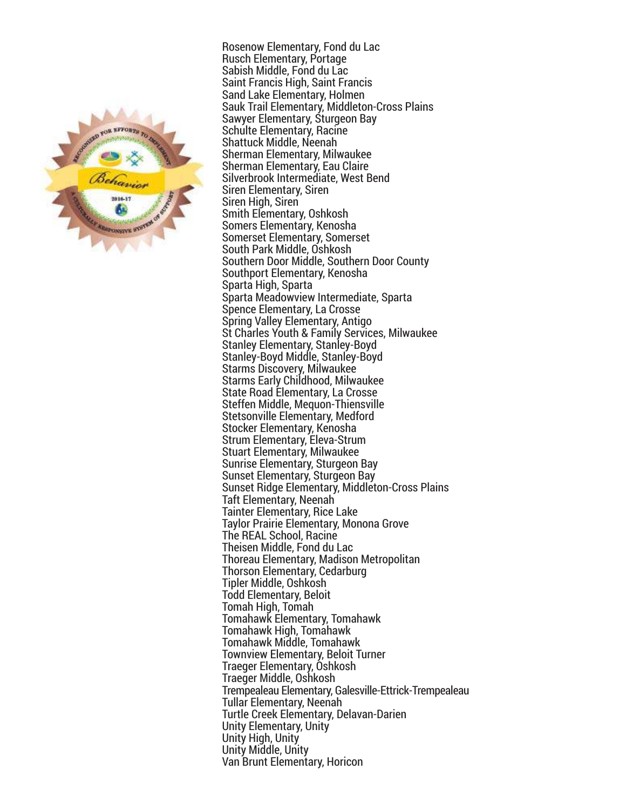

Rosenow Elementary, Fond du Lac Rusch Elementary, Portage Sabish Middle, Fond du Lac Saint Francis High, Saint Francis Sand Lake Elementary, Holmen Sauk Trail Elementary, Middleton-Cross Plains Sawyer Elementary, Sturgeon Bay Schulte Elementary, Racine Shattuck Middle, Neenah Sherman Elementary, Milwaukee Sherman Elementary, Eau Claire Silverbrook Intermediate, West Bend Siren Elementary, Siren Siren High, Siren Smith Elementary, Oshkosh Somers Elementary, Kenosha Somerset Elementary, Somerset South Park Middle, Oshkosh Southern Door Middle, Southern Door County Southport Elementary, Kenosha Sparta High, Sparta Sparta Meadowview Intermediate, Sparta Spence Elementary, La Crosse Spring Valley Elementary, Antigo St Charles Youth & Family Services, Milwaukee Stanley Elementary, Stanley-Boyd Stanley-Boyd Middle, Stanley-Boyd Starms Discovery, Milwaukee Starms Early Childhood, Milwaukee State Road Elementary, La Crosse Steffen Middle, Mequon-Thiensville Stetsonville Elementary, Medford Stocker Elementary, Kenosha Strum Elementary, Eleva-Strum Stuart Elementary, Milwaukee Sunrise Elementary, Sturgeon Bay Sunset Elementary, Sturgeon Bay Sunset Ridge Elementary, Middleton-Cross Plains Taft Elementary, Neenah Tainter Elementary, Rice Lake Taylor Prairie Elementary, Monona Grove The REAL School, Racine Theisen Middle, Fond du Lac Thoreau Elementary, Madison Metropolitan Thorson Elementary, Cedarburg Tipler Middle, Oshkosh Todd Elementary, Beloit Tomah High, Tomah Tomahawk Elementary, Tomahawk Tomahawk High, Tomahawk Tomahawk Middle, Tomahawk Townview Elementary, Beloit Turner Traeger Elementary, Oshkosh Traeger Middle, Oshkosh Trempealeau Elementary, Galesville-Ettrick-Trempealeau Tullar Elementary, Neenah Turtle Creek Elementary, Delavan-Darien Unity Elementary, Unity Unity High, Unity Unity Middle, Unity Van Brunt Elementary, Horicon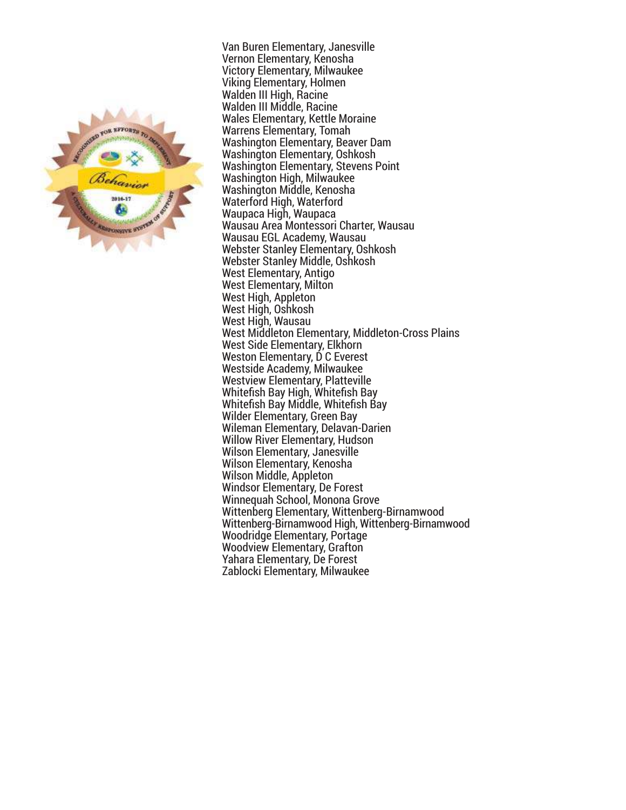

Van Buren Elementary, Janesville Vernon Elementary, Kenosha Victory Elementary, Milwaukee Viking Elementary, Holmen Walden III High, Racine Walden III Middle, Racine Wales Elementary, Kettle Moraine Warrens Elementary, Tomah Washington Elementary, Beaver Dam Washington Elementary, Oshkosh Washington Elementary, Stevens Point Washington High, Milwaukee Washington Middle, Kenosha Waterford High, Waterford Waupaca High, Waupaca Wausau Area Montessori Charter, Wausau Wausau EGL Academy, Wausau Webster Stanley Elementary, Oshkosh Webster Stanley Middle, Oshkosh West Elementary, Antigo West Elementary, Milton West High, Appleton West High, Oshkosh West High, Wausau West Middleton Elementary, Middleton-Cross Plains West Side Elementary, Elkhorn Weston Elementary, D C Everest Westside Academy, Milwaukee Westview Elementary, Platteville Whitefish Bay High, Whitefish Bay Whitefish Bay Middle, Whitefish Bay Wilder Elementary, Green Bay Wileman Elementary, Delavan-Darien Willow River Elementary, Hudson Wilson Elementary, Janesville Wilson Elementary, Kenosha Wilson Middle, Appleton Windsor Elementary, De Forest Winnequah School, Monona Grove Wittenberg Elementary, Wittenberg-Birnamwood Wittenberg-Birnamwood High, Wittenberg-Birnamwood Woodridge Elementary, Portage Woodview Elementary, Grafton Yahara Elementary, De Forest Zablocki Elementary, Milwaukee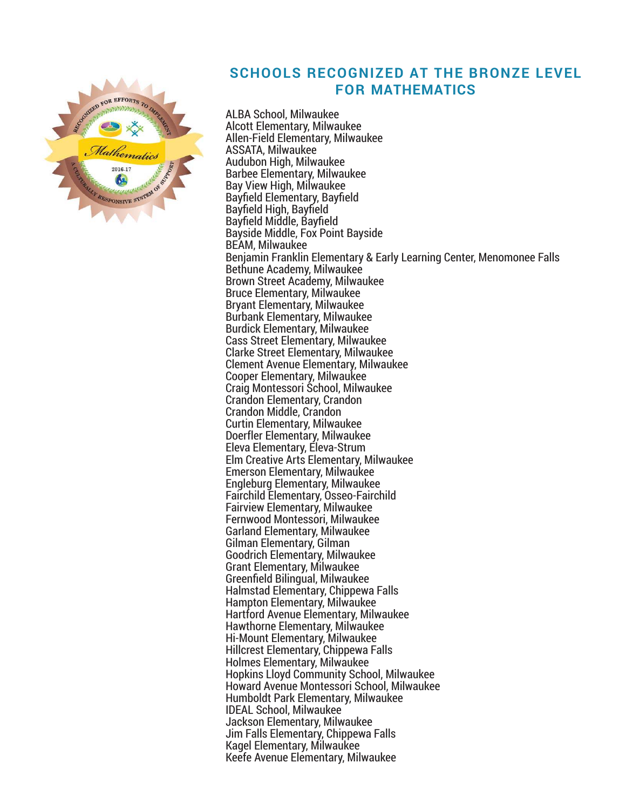

#### **SCHOOLS RECOGNIZED AT THE BRONZE LEVEL FOR MATHEMATICS**

ALBA School, Milwaukee Alcott Elementary, Milwaukee Allen-Field Elementary, Milwaukee ASSATA, Milwaukee Audubon High, Milwaukee Barbee Elementary, Milwaukee Bay View High, Milwaukee Bayfield Elementary, Bayfield Bayfield High, Bayfield Bayfield Middle, Bayfield Bayside Middle, Fox Point Bayside BEAM, Milwaukee Benjamin Franklin Elementary & Early Learning Center, Menomonee Falls Bethune Academy, Milwaukee Brown Street Academy, Milwaukee Bruce Elementary, Milwaukee Bryant Elementary, Milwaukee Burbank Elementary, Milwaukee Burdick Elementary, Milwaukee Cass Street Elementary, Milwaukee Clarke Street Elementary, Milwaukee Clement Avenue Elementary, Milwaukee Cooper Elementary, Milwaukee Craig Montessori School, Milwaukee Crandon Elementary, Crandon Crandon Middle, Crandon Curtin Elementary, Milwaukee Doerfler Elementary, Milwaukee Eleva Elementary, Eleva-Strum Elm Creative Arts Elementary, Milwaukee Emerson Elementary, Milwaukee Engleburg Elementary, Milwaukee Fairchild Elementary, Osseo-Fairchild Fairview Elementary, Milwaukee Fernwood Montessori, Milwaukee Garland Elementary, Milwaukee Gilman Elementary, Gilman Goodrich Elementary, Milwaukee Grant Elementary, Milwaukee Greenfield Bilingual, Milwaukee Halmstad Elementary, Chippewa Falls Hampton Elementary, Milwaukee Hartford Avenue Elementary, Milwaukee Hawthorne Elementary, Milwaukee Hi-Mount Elementary, Milwaukee Hillcrest Elementary, Chippewa Falls Holmes Elementary, Milwaukee Hopkins Lloyd Community School, Milwaukee Howard Avenue Montessori School, Milwaukee Humboldt Park Elementary, Milwaukee IDEAL School, Milwaukee Jackson Elementary, Milwaukee Jim Falls Elementary, Chippewa Falls Kagel Elementary, Milwaukee Keefe Avenue Elementary, Milwaukee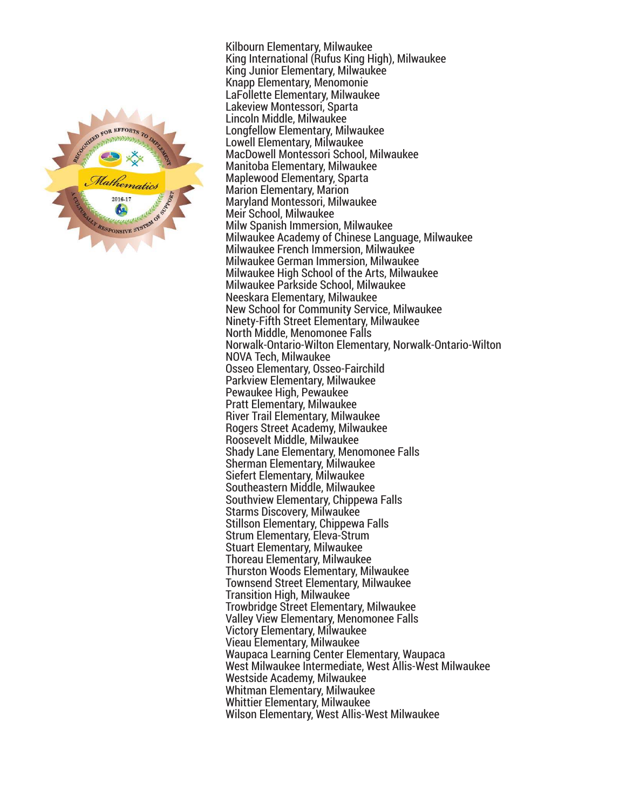

Kilbourn Elementary, Milwaukee King International (Rufus King High), Milwaukee King Junior Elementary, Milwaukee Knapp Elementary, Menomonie LaFollette Elementary, Milwaukee Lakeview Montessori, Sparta Lincoln Middle, Milwaukee Longfellow Elementary, Milwaukee Lowell Elementary, Milwaukee MacDowell Montessori School, Milwaukee Manitoba Elementary, Milwaukee Maplewood Elementary, Sparta Marion Elementary, Marion Maryland Montessori, Milwaukee Meir School, Milwaukee Milw Spanish Immersion, Milwaukee Milwaukee Academy of Chinese Language, Milwaukee Milwaukee French Immersion, Milwaukee Milwaukee German Immersion, Milwaukee Milwaukee High School of the Arts, Milwaukee Milwaukee Parkside School, Milwaukee Neeskara Elementary, Milwaukee New School for Community Service, Milwaukee Ninety-Fifth Street Elementary, Milwaukee North Middle, Menomonee Falls Norwalk-Ontario-Wilton Elementary, Norwalk-Ontario-Wilton NOVA Tech, Milwaukee Osseo Elementary, Osseo-Fairchild Parkview Elementary, Milwaukee Pewaukee High, Pewaukee Pratt Elementary, Milwaukee River Trail Elementary, Milwaukee Rogers Street Academy, Milwaukee Roosevelt Middle, Milwaukee Shady Lane Elementary, Menomonee Falls Sherman Elementary, Milwaukee Siefert Elementary, Milwaukee Southeastern Middle, Milwaukee Southview Elementary, Chippewa Falls Starms Discovery, Milwaukee Stillson Elementary, Chippewa Falls Strum Elementary, Eleva-Strum Stuart Elementary, Milwaukee Thoreau Elementary, Milwaukee Thurston Woods Elementary, Milwaukee Townsend Street Elementary, Milwaukee Transition High, Milwaukee Trowbridge Street Elementary, Milwaukee Valley View Elementary, Menomonee Falls Victory Elementary, Milwaukee Vieau Elementary, Milwaukee Waupaca Learning Center Elementary, Waupaca West Milwaukee Intermediate, West Allis-West Milwaukee Westside Academy, Milwaukee Whitman Elementary, Milwaukee Whittier Elementary, Milwaukee Wilson Elementary, West Allis-West Milwaukee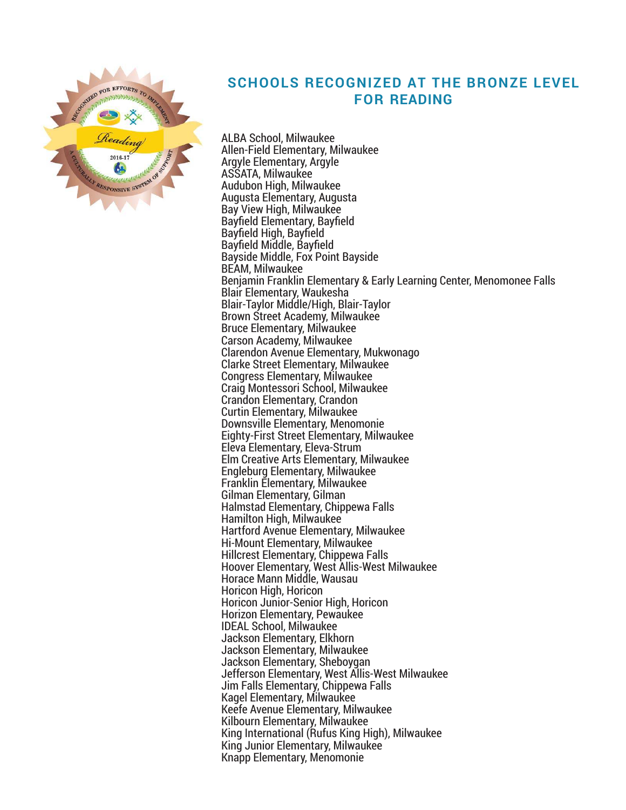

## **SCHOOLS RECOGNIZED AT THE BRONZE LEVEL FOR READING**

ALBA School, Milwaukee Allen-Field Elementary, Milwaukee Argyle Elementary, Argyle ASSATA, Milwaukee Audubon High, Milwaukee Augusta Elementary, Augusta Bay View High, Milwaukee Bayfield Elementary, Bayfield Bayfield High, Bayfield Bayfield Middle, Bayfield Bayside Middle, Fox Point Bayside BEAM, Milwaukee Benjamin Franklin Elementary & Early Learning Center, Menomonee Falls Blair Elementary, Waukesha Blair-Taylor Middle/High, Blair-Taylor Brown Street Academy, Milwaukee Bruce Elementary, Milwaukee Carson Academy, Milwaukee Clarendon Avenue Elementary, Mukwonago Clarke Street Elementary, Milwaukee Congress Elementary, Milwaukee Craig Montessori School, Milwaukee Crandon Elementary, Crandon Curtin Elementary, Milwaukee Downsville Elementary, Menomonie Eighty-First Street Elementary, Milwaukee Eleva Elementary, Eleva-Strum Elm Creative Arts Elementary, Milwaukee Engleburg Elementary, Milwaukee Franklin Elementary, Milwaukee Gilman Elementary, Gilman Halmstad Elementary, Chippewa Falls Hamilton High, Milwaukee Hartford Avenue Elementary, Milwaukee Hi-Mount Elementary, Milwaukee Hillcrest Elementary, Chippewa Falls Hoover Elementary, West Allis-West Milwaukee Horace Mann Middle, Wausau Horicon High, Horicon Horicon Junior-Senior High, Horicon Horizon Elementary, Pewaukee IDEAL School, Milwaukee Jackson Elementary, Elkhorn Jackson Elementary, Milwaukee Jackson Elementary, Sheboygan Jefferson Elementary, West Allis-West Milwaukee Jim Falls Elementary, Chippewa Falls Kagel Elementary, Milwaukee Keefe Avenue Elementary, Milwaukee Kilbourn Elementary, Milwaukee King International (Rufus King High), Milwaukee King Junior Elementary, Milwaukee Knapp Elementary, Menomonie